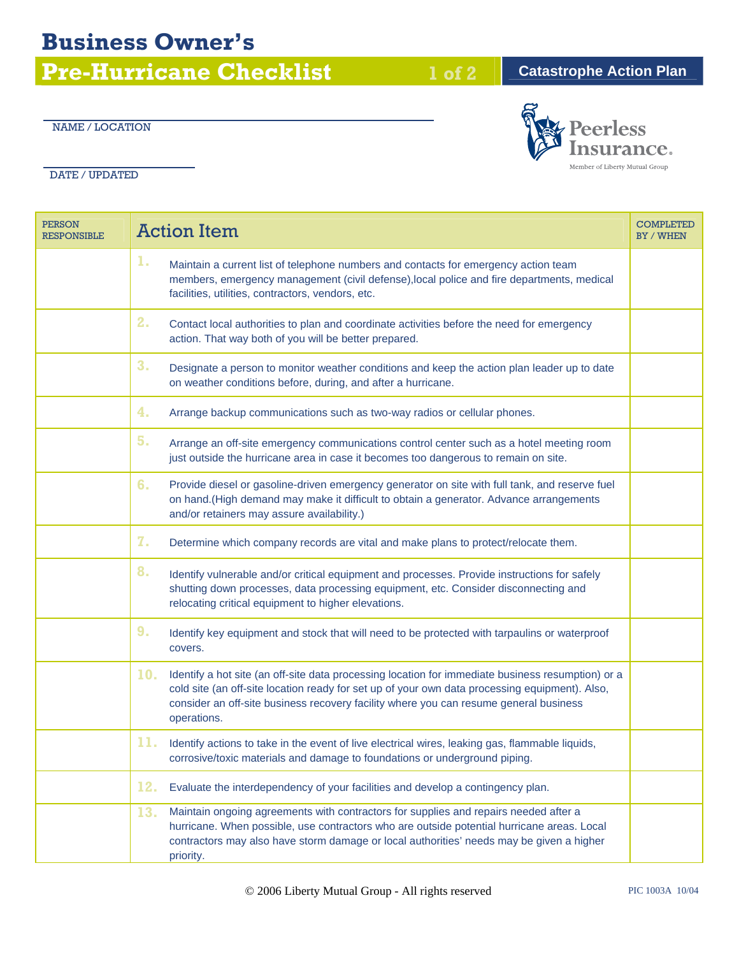## **Business Owner's**

**Pre-Hurricane Checklist** 1 of 2 **Catastrophe Action Plan** 

## NAME / LOCATION

DATE / UPDATED

| <b>PERSON</b><br><b>RESPONSIBLE</b> |                | <b>Action Item</b>                                                                                                                                                                                                                                                                                          | <b>COMPLETED</b><br><b>BY / WHEN</b> |
|-------------------------------------|----------------|-------------------------------------------------------------------------------------------------------------------------------------------------------------------------------------------------------------------------------------------------------------------------------------------------------------|--------------------------------------|
|                                     | ı.             | Maintain a current list of telephone numbers and contacts for emergency action team<br>members, emergency management (civil defense), local police and fire departments, medical<br>facilities, utilities, contractors, vendors, etc.                                                                       |                                      |
|                                     | 2.             | Contact local authorities to plan and coordinate activities before the need for emergency<br>action. That way both of you will be better prepared.                                                                                                                                                          |                                      |
|                                     | 3 <sub>1</sub> | Designate a person to monitor weather conditions and keep the action plan leader up to date<br>on weather conditions before, during, and after a hurricane.                                                                                                                                                 |                                      |
|                                     | 4.             | Arrange backup communications such as two-way radios or cellular phones.                                                                                                                                                                                                                                    |                                      |
|                                     | 5.             | Arrange an off-site emergency communications control center such as a hotel meeting room<br>just outside the hurricane area in case it becomes too dangerous to remain on site.                                                                                                                             |                                      |
|                                     | 6.             | Provide diesel or gasoline-driven emergency generator on site with full tank, and reserve fuel<br>on hand.(High demand may make it difficult to obtain a generator. Advance arrangements<br>and/or retainers may assure availability.)                                                                      |                                      |
|                                     | 7.             | Determine which company records are vital and make plans to protect/relocate them.                                                                                                                                                                                                                          |                                      |
|                                     | 8.             | Identify vulnerable and/or critical equipment and processes. Provide instructions for safely<br>shutting down processes, data processing equipment, etc. Consider disconnecting and<br>relocating critical equipment to higher elevations.                                                                  |                                      |
|                                     | 9.             | Identify key equipment and stock that will need to be protected with tarpaulins or waterproof<br>covers.                                                                                                                                                                                                    |                                      |
|                                     | 10.            | Identify a hot site (an off-site data processing location for immediate business resumption) or a<br>cold site (an off-site location ready for set up of your own data processing equipment). Also,<br>consider an off-site business recovery facility where you can resume general business<br>operations. |                                      |
|                                     | 11.            | Identify actions to take in the event of live electrical wires, leaking gas, flammable liquids,<br>corrosive/toxic materials and damage to foundations or underground piping.                                                                                                                               |                                      |
|                                     | 12.            | Evaluate the interdependency of your facilities and develop a contingency plan.                                                                                                                                                                                                                             |                                      |
|                                     | 13.            | Maintain ongoing agreements with contractors for supplies and repairs needed after a<br>hurricane. When possible, use contractors who are outside potential hurricane areas. Local<br>contractors may also have storm damage or local authorities' needs may be given a higher<br>priority.                 |                                      |